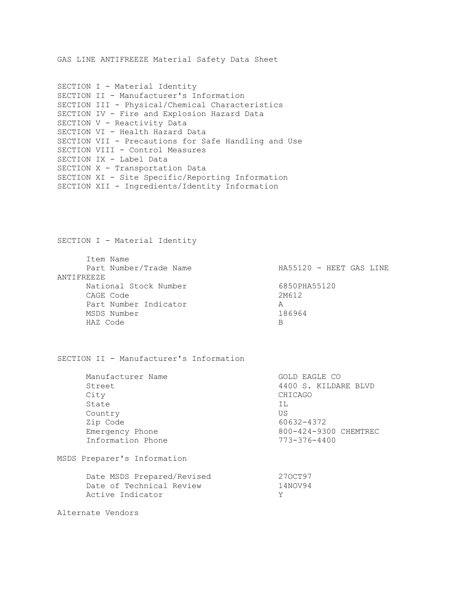GAS LINE ANTIFREEZE Material Safety Data Sheet

| SECTION I - Material Identity                       |
|-----------------------------------------------------|
| SECTION II - Manufacturer's Information             |
| SECTION III - Physical/Chemical Characteristics     |
| SECTION IV - Fire and Explosion Hazard Data         |
| SECTION V - Reactivity Data                         |
| SECTION VI - Health Hazard Data                     |
| SECTION VII - Precautions for Safe Handling and Use |
| SECTION VIII - Control Measures                     |
| SECTION IX - Label Data                             |
| SECTION X - Transportation Data                     |
| SECTION XI - Site Specific/Reporting Information    |
| SECTION XII - Ingredients/Identity Information      |
|                                                     |

SECTION I - Material Identity

| Item Name  |                        |                         |
|------------|------------------------|-------------------------|
|            | Part Number/Trade Name | HA55120 - HEET GAS LINE |
| ANTIFREEZE |                        |                         |
|            | National Stock Number  | 6850PHA55120            |
| CAGE Code  |                        | 2M612                   |
|            | Part Number Indicator  | А                       |
|            | MSDS Number            | 186964                  |
| HAZ Code   |                        | В                       |

SECTION II - Manufacturer's Information

| Manufacturer Name                                                          |                         |                                             |
|----------------------------------------------------------------------------|-------------------------|---------------------------------------------|
|                                                                            |                         | 4400 S. KILDARE BLVD                        |
|                                                                            | CHICAGO                 |                                             |
|                                                                            | TT.                     |                                             |
|                                                                            | US                      |                                             |
|                                                                            |                         |                                             |
| Emergency Phone                                                            |                         | 800-424-9300 CHEMTREC                       |
| Information Phone                                                          |                         |                                             |
| MSDS Preparer's Information                                                |                         |                                             |
| Date MSDS Prepared/Revised<br>Date of Technical Review<br>Active Indicator | 270CT97<br>14NOV94<br>Y |                                             |
|                                                                            |                         | GOLD EAGLE CO<br>60632-4372<br>773-376-4400 |

Alternate Vendors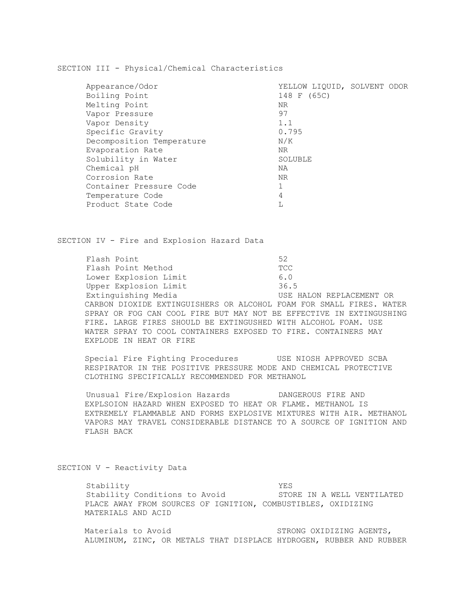SECTION III - Physical/Chemical Characteristics

| Appearance/Odor           | YELLOW LIOUID, SOLVENT ODOR |  |
|---------------------------|-----------------------------|--|
| Boiling Point             | 148 F (65C)                 |  |
| Melting Point             | NR.                         |  |
| Vapor Pressure            | 97                          |  |
| Vapor Density             | 1.1                         |  |
| Specific Gravity          | 0.795                       |  |
| Decomposition Temperature | N/K                         |  |
| Evaporation Rate          | NR                          |  |
| Solubility in Water       | SOLUBLE                     |  |
| Chemical pH               | ΝA                          |  |
| Corrosion Rate            | NR                          |  |
| Container Pressure Code   |                             |  |
| Temperature Code          | 4                           |  |
| Product State Code        |                             |  |

SECTION IV - Fire and Explosion Hazard Data

Flash Point 52 Flash Point Method TCC Lower Explosion Limit 6.0 Upper Explosion Limit 36.5 Extinguishing Media USE HALON REPLACEMENT OR CARBON DIOXIDE EXTINGUISHERS OR ALCOHOL FOAM FOR SMALL FIRES. WATER SPRAY OR FOG CAN COOL FIRE BUT MAY NOT BE EFFECTIVE IN EXTINGUSHING FIRE. LARGE FIRES SHOULD BE EXTINGUSHED WITH ALCOHOL FOAM. USE WATER SPRAY TO COOL CONTAINERS EXPOSED TO FIRE. CONTAINERS MAY EXPLODE IN HEAT OR FIRE

Special Fire Fighting Procedures USE NIOSH APPROVED SCBA RESPIRATOR IN THE POSITIVE PRESSURE MODE AND CHEMICAL PROTECTIVE CLOTHING SPECIFICALLY RECOMMENDED FOR METHANOL

Unusual Fire/Explosion Hazards DANGEROUS FIRE AND EXPLSOION HAZARD WHEN EXPOSED TO HEAT OR FLAME. METHANOL IS EXTREMELY FLAMMABLE AND FORMS EXPLOSIVE MIXTURES WITH AIR. METHANOL VAPORS MAY TRAVEL CONSIDERABLE DISTANCE TO A SOURCE OF IGNITION AND FLASH BACK

SECTION V - Reactivity Data

Stability YES Stability Conditions to Avoid STORE IN A WELL VENTILATED PLACE AWAY FROM SOURCES OF IGNITION, COMBUSTIBLES, OXIDIZING MATERIALS AND ACID

Materials to Avoid **STRONG OXIDIZING AGENTS**, ALUMINUM, ZINC, OR METALS THAT DISPLACE HYDROGEN, RUBBER AND RUBBER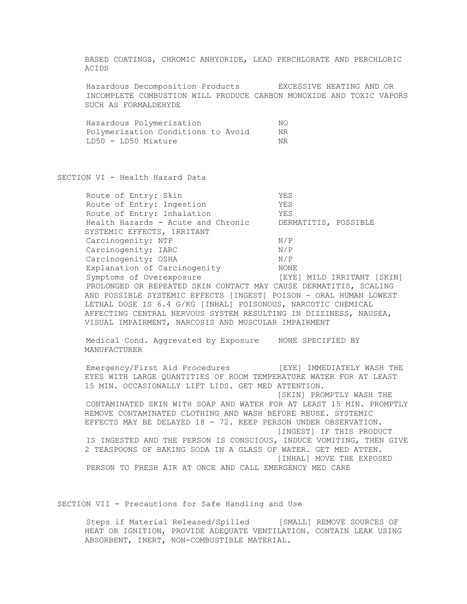BASED COATINGS, CHROMIC ANHYDRIDE, LEAD PERCHLORATE AND PERCHLORIC ACIDS

 Hazardous Decomposition Products EXCESSIVE HEATING AND OR INCOMPLETE COMBUSTION WILL PRODUCE CARBON MONOXIDE AND TOXIC VAPORS SUCH AS FORMALDEHYDE

|                     | Hazardous Polymerization           | NΟ |
|---------------------|------------------------------------|----|
|                     | Polymerization Conditions to Avoid | ΝR |
| LD50 - LD50 Mixture |                                    | NR |

SECTION VI - Health Hazard Data

| Route of Entry: Skin                                              | YES                        |
|-------------------------------------------------------------------|----------------------------|
| Route of Entry: Ingestion                                         | YES                        |
| Route of Entry: Inhalation                                        | YES                        |
| Health Hazards - Acute and Chronic                                | DERMATITIS, POSSIBLE       |
| SYSTEMIC EFFECTS, IRRITANT                                        |                            |
| Carcinogenity: NTP                                                | N/P                        |
| Carcinogenity: IARC                                               | N/P                        |
| Carcinogenity: OSHA                                               | N/P                        |
| Explanation of Carcinogenity                                      | NONE                       |
| Symptoms of Overexposure                                          | [EYE] MILD IRRITANT [SKIN] |
| PROLONGED OR REPEATED SKIN CONTACT MAY CAUSE DERMATITIS, SCALING  |                            |
| AND POSSIBLE SYSTEMIC EFFECTS [INGEST] POISON - ORAL HUMAN LOWEST |                            |
| LETHAL DOSE IS 6.4 G/KG [INHAL] POISONOUS, NARCOTIC CHEMICAL      |                            |
| AFFECTING CENTRAL NERVOUS SYSTEM RESULTING IN DIZZINESS, NAUSEA,  |                            |
| VISUAL IMPAIRMENT, NARCOSIS AND MUSCULAR IMPAIRMENT               |                            |
|                                                                   |                            |

 Medical Cond. Aggrevated by Exposure NONE SPECIFIED BY MANUFACTURER

 Emergency/First Aid Procedures [EYE] IMMEDIATELY WASH THE EYES WITH LARGE QUANTITIES OF ROOM TEMPERATURE WATER FOR AT LEAST 15 MIN. OCCASIONALLY LIFT LIDS. GET MED ATTENTION. [SKIN] PROMPTLY WASH THE CONTAMINATED SKIN WITH SOAP AND WATER FOR AT LEAST 15 MIN. PROMPTLY REMOVE CONTAMINATED CLOTHING AND WASH BEFORE REUSE. SYSTEMIC EFFECTS MAY BE DELAYED 18 - 72. KEEP PERSON UNDER OBSERVATION. [INGEST] IF THIS PRODUCT IS INGESTED AND THE PERSON IS CONSCIOUS, INDUCE VOMITING, THEN GIVE 2 TEASPOONS OF BAKING SODA IN A GLASS OF WATER. GET MED ATTEN. [INHAL] MOVE THE EXPOSED PERSON TO FRESH AIR AT ONCE AND CALL EMERGENCY MED CARE

SECTION VII - Precautions for Safe Handling and Use

Steps if Material Released/Spilled [SMALL] REMOVE SOURCES OF HEAT OR IGNITION, PROVIDE ADEQUATE VENTILATION. CONTAIN LEAK USING ABSORBENT, INERT, NON-COMBUSTIBLE MATERIAL.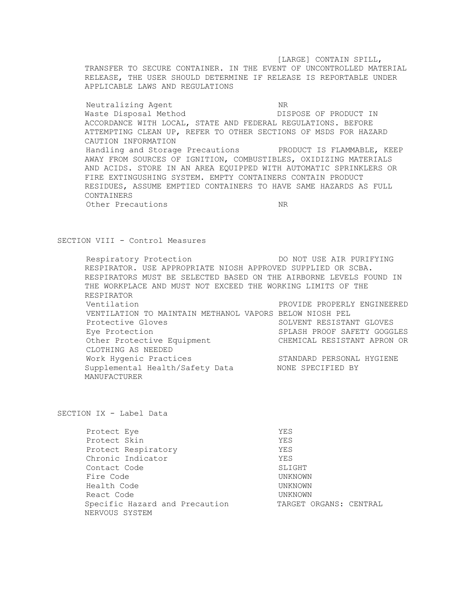[LARGE] CONTAIN SPILL, TRANSFER TO SECURE CONTAINER. IN THE EVENT OF UNCONTROLLED MATERIAL RELEASE, THE USER SHOULD DETERMINE IF RELEASE IS REPORTABLE UNDER APPLICABLE LAWS AND REGULATIONS

Neutralizing Agent NR Waste Disposal Method DISPOSE OF PRODUCT IN ACCORDANCE WITH LOCAL, STATE AND FEDERAL REGULATIONS. BEFORE ATTEMPTING CLEAN UP, REFER TO OTHER SECTIONS OF MSDS FOR HAZARD CAUTION INFORMATION Handling and Storage Precautions PRODUCT IS FLAMMABLE, KEEP AWAY FROM SOURCES OF IGNITION, COMBUSTIBLES, OXIDIZING MATERIALS AND ACIDS. STORE IN AN AREA EQUIPPED WITH AUTOMATIC SPRINKLERS OR FIRE EXTINGUSHING SYSTEM. EMPTY CONTAINERS CONTAIN PRODUCT RESIDUES, ASSUME EMPTIED CONTAINERS TO HAVE SAME HAZARDS AS FULL CONTAINERS Other Precautions NR

## SECTION VIII - Control Measures

Respiratory Protection  $DO NOT USE AIR PURIFYING$ RESPIRATOR. USE APPROPRIATE NIOSH APPROVED SUPPLIED OR SCBA. RESPIRATORS MUST BE SELECTED BASED ON THE AIRBORNE LEVELS FOUND IN THE WORKPLACE AND MUST NOT EXCEED THE WORKING LIMITS OF THE RESPIRATOR Ventilation PROVIDE PROPERLY ENGINEERED VENTILATION TO MAINTAIN METHANOL VAPORS BELOW NIOSH PEL Protective Gloves SOLVENT RESISTANT GLOVES Eye Protection SPLASH PROOF SAFETY GOGGLES Other Protective Equipment CHEMICAL RESISTANT APRON OR CLOTHING AS NEEDED Work Hygenic Practices<br>Supplemental Health/Safety Data NONE SPECIFIED BY Supplemental Health/Safety Data MANUFACTURER

SECTION IX - Label Data

| Protect Eye                                      | YES                    |
|--------------------------------------------------|------------------------|
| Protect Skin                                     | YES                    |
| Protect Respiratory                              | YES                    |
| Chronic Indicator                                | YES                    |
| Contact Code                                     | SLIGHT                 |
| Fire Code                                        | UNKNOWN                |
| Health Code                                      | UNKNOWN                |
| React Code                                       | UNKNOWN                |
| Specific Hazard and Precaution<br>NERVOUS SYSTEM | TARGET ORGANS: CENTRAL |
|                                                  |                        |